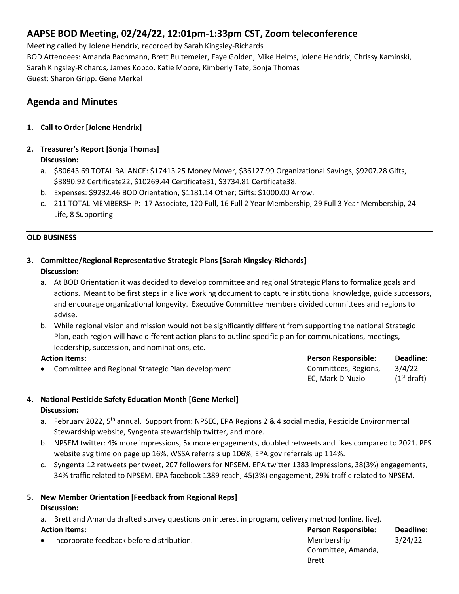# **AAPSE BOD Meeting, 02/24/22, 12:01pm-1:33pm CST, Zoom teleconference**

Meeting called by Jolene Hendrix, recorded by Sarah Kingsley-Richards BOD Attendees: Amanda Bachmann, Brett Bultemeier, Faye Golden, Mike Helms, Jolene Hendrix, Chrissy Kaminski, Sarah Kingsley-Richards, James Kopco, Katie Moore, Kimberly Tate, Sonja Thomas Guest: Sharon Gripp. Gene Merkel

# **Agenda and Minutes**

- **1. Call to Order [Jolene Hendrix]**
- **2. Treasurer's Report [Sonja Thomas] Discussion:**
	- a. \$80643.69 TOTAL BALANCE: \$17413.25 Money Mover, \$36127.99 Organizational Savings, \$9207.28 Gifts, \$3890.92 Certificate22, \$10269.44 Certificate31, \$3734.81 Certificate38.
	- b. Expenses: \$9232.46 BOD Orientation, \$1181.14 Other; Gifts: \$1000.00 Arrow.
	- c. 211 TOTAL MEMBERSHIP: 17 Associate, 120 Full, 16 Full 2 Year Membership, 29 Full 3 Year Membership, 24 Life, 8 Supporting

#### **OLD BUSINESS**

#### **3. Committee/Regional Representative Strategic Plans [Sarah Kingsley-Richards] Discussion:**

- a. At BOD Orientation it was decided to develop committee and regional Strategic Plans to formalize goals and actions. Meant to be first steps in a live working document to capture institutional knowledge, guide successors, and encourage organizational longevity. Executive Committee members divided committees and regions to advise.
- b. While regional vision and mission would not be significantly different from supporting the national Strategic Plan, each region will have different action plans to outline specific plan for communications, meetings, leadership, succession, and nominations, etc.

| <b>Action Items:</b> |                                                   | <b>Person Responsible:</b> | Deadline:               |
|----------------------|---------------------------------------------------|----------------------------|-------------------------|
|                      | Committee and Regional Strategic Plan development | Committees, Regions,       | 3/4/22                  |
|                      |                                                   | EC. Mark DiNuzio           | (1 <sup>st</sup> draft) |

# **4. National Pesticide Safety Education Month [Gene Merkel] Discussion:**

- a. February 2022, 5<sup>th</sup> annual. Support from: NPSEC, EPA Regions 2 & 4 social media, Pesticide Environmental Stewardship website, Syngenta stewardship twitter, and more.
- b. NPSEM twitter: 4% more impressions, 5x more engagements, doubled retweets and likes compared to 2021. PES website avg time on page up 16%, WSSA referrals up 106%, EPA.gov referrals up 114%.
- c. Syngenta 12 retweets per tweet, 207 followers for NPSEM. EPA twitter 1383 impressions, 38(3%) engagements, 34% traffic related to NPSEM. EPA facebook 1389 reach, 45(3%) engagement, 29% traffic related to NPSEM.

#### **5. New Member Orientation [Feedback from Regional Reps] Discussion:**

a. Brett and Amanda drafted survey questions on interest in program, delivery method (online, live).

| <b>Action Items:</b> |                                             | <b>Person Responsible:</b> | Deadline: |
|----------------------|---------------------------------------------|----------------------------|-----------|
|                      | • Incorporate feedback before distribution. | Membership                 | 3/24/22   |
|                      |                                             | Committee, Amanda,         |           |
|                      |                                             | <b>Brett</b>               |           |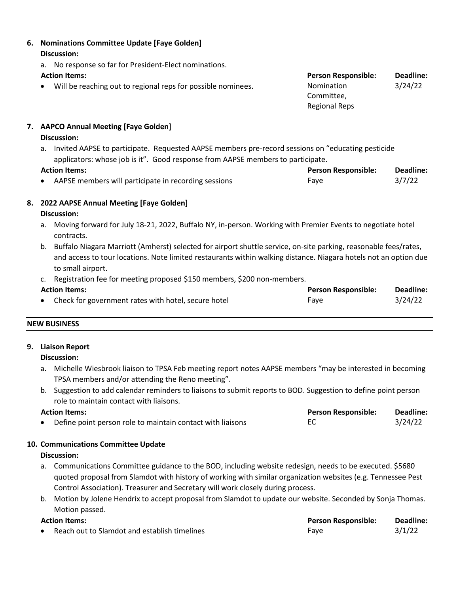#### **6. Nominations Committee Update [Faye Golden] Discussion:** a. No response so far for President-Elect nominations. **Action Items: Person Responsible: Deadline:** Will be reaching out to regional reps for possible nominees. Nomination Committee, Regional Reps 3/24/22

## **7. AAPCO Annual Meeting [Faye Golden]**

# **Discussion:**

a. Invited AAPSE to participate. Requested AAPSE members pre-record sessions on "educating pesticide applicators: whose job is it". Good response from AAPSE members to participate.

## **Action Items: Person Responsible: Deadline:**

AAPSE members will participate in recording sessions Faye Faye 63/7/22

# **8. 2022 AAPSE Annual Meeting [Faye Golden]**

## **Discussion:**

- a. Moving forward for July 18-21, 2022, Buffalo NY, in-person. Working with Premier Events to negotiate hotel contracts.
- b. Buffalo Niagara Marriott (Amherst) selected for airport shuttle service, on-site parking, reasonable fees/rates, and access to tour locations. Note limited restaurants within walking distance. Niagara hotels not an option due to small airport.
- c. Registration fee for meeting proposed \$150 members, \$200 non-members.

| <b>Action Items:</b> |                                                       | <b>Person Responsible:</b> |         |
|----------------------|-------------------------------------------------------|----------------------------|---------|
|                      | • Check for government rates with hotel, secure hotel | Faye                       | 3/24/22 |

# **NEW BUSINESS**

# **9. Liaison Report**

#### **Discussion:**

- a. Michelle Wiesbrook liaison to TPSA Feb meeting report notes AAPSE members "may be interested in becoming TPSA members and/or attending the Reno meeting".
- b. Suggestion to add calendar reminders to liaisons to submit reports to BOD. Suggestion to define point person role to maintain contact with liaisons.

| <b>Action Items:</b> |                                                            | <b>Person Responsible:</b> | Deadline: |
|----------------------|------------------------------------------------------------|----------------------------|-----------|
|                      | Define point person role to maintain contact with liaisons |                            | 3/24/22   |

# **10. Communications Committee Update**

# **Discussion:**

- a. Communications Committee guidance to the BOD, including website redesign, needs to be executed. \$5680 quoted proposal from Slamdot with history of working with similar organization websites (e.g. Tennessee Pest Control Association). Treasurer and Secretary will work closely during process.
- b. Motion by Jolene Hendrix to accept proposal from Slamdot to update our website. Seconded by Sonja Thomas. Motion passed.

| <b>Action Items:</b> |                                                | <b>Person Responsible:</b> | Deadline: |
|----------------------|------------------------------------------------|----------------------------|-----------|
|                      | • Reach out to Slamdot and establish timelines | Fave                       | 3/1/22    |